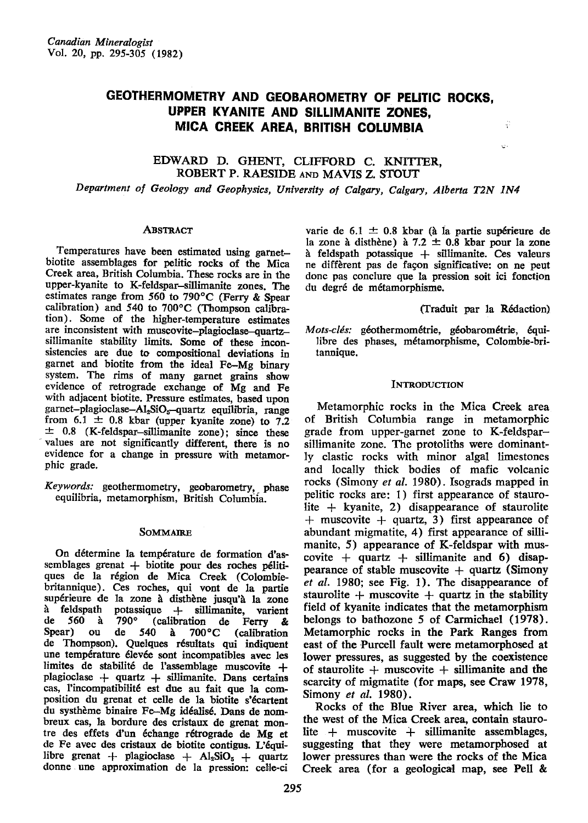## GEOTHERMOMETRY AND GEOBAROMETRY OF PELITIC ROCKS, UPPER KYANITE AND SILLIMANITE ZONES. MICA CREEK AREA, BRITISH COLUMBIA

## EDWARD D. GHENT, CLIFFORD C. KNITTER, ROBERT P. RAESIDE AND MAVIS Z. STOUT

Department of Geology and Geophysics, University of Calgary, Calgary, Alberta T2N 1N4

#### Abstract

Temperatures have been estimated using garnetbiotite assemblages for pelitic rocks of the Mica Creek area, British Columbia. These rocks are in the upper-kyanite to K-feldspar-sillimanite zones. The estimates range from 560 to 790°C (Ferry & Spear calibration) and 540 to 700°C (Thompson calibration). Some of the higher-temperature estimates are inconsistent with muscovite-plagioclase-quartzsillimanite stability limits. Some of these inconsistencies are due to compositional deviations in garnet and biotite from the ideal Fe-Mg binary system. The rims of many garnet grains show evidence of retrograde exchange of Mg and Fe with adjacent biotite. Pressure estimates, based upon garnet-plagioclase-Al<sub>2</sub>SiO<sub>5</sub>-quartz equilibria, range from 6.1  $\pm$  0.8 kbar (upper kyanite zone) to 7.2  $\pm$  0.8 (K-feldspar-sillimanite zone); since these values are not significantly different, there is no evidence for a change in pressure with metamorphic grade.

Keywords: geothermometry, geobarometry, phase equilibria, metamorphism, British Columbia.

#### **SOMMAIRE**

On détermine la température de formation d'assemblages grenat + biotite pour des roches pélitiques de la région de Mica Creek (Colombiebritannique). Ces roches, qui vont de la partie supérieure de la zone à disthène jusqu'à la zone potassique + sillimanite, varient à feldspath de 560 à  $790^\circ$ (calibration  $de$ Ferry & Spear) 540 ou de  $\lambda$  $700^{\circ}$ C (calibration de Thompson). Quelques résultats qui indiquent une température élevée sont incompatibles avec les limites de stabilité de l'assemblage muscovite + plagioclase  $+$  quartz  $+$  sillimanite. Dans certains cas, l'incompatibilité est due au fait que la composition du grenat et celle de la biotite s'écartent du systhème binaire Fe-Mg idéalisé. Dans de nombreux cas, la bordure des cristaux de grenat montre des effets d'un échange rétrograde de Mg et de Fe avec des cristaux de biotite contigus. L'équilibre grenat + plagioclase +  $Al_2SiO_5$  + quartz donne une approximation de la pression: celle-ci

varie de 6.1  $\pm$  0.8 kbar (à la partie supérieure de la zone à disthène) à 7.2  $\pm$  0.8 kbar pour la zone à feldspath potassique  $+$  sillimanite. Ces valeurs ne diffèrent pas de façon significative: on ne peut donc pas conclure que la pression soit ici fonction du degré de métamorphisme.

(Traduit par la Rédaction).

÷

Mots-clés: géothermométrie, géobarométrie, équilibre des phases, métamorphisme, Colombie-britannique.

#### **INTRODUCTION**

Metamorphic rocks in the Mica Creek area of British Columbia range in metamorphic grade from upper-garnet zone to K-feldsparsillimanite zone. The protoliths were dominantly clastic rocks with minor algal limestones and locally thick bodies of mafic volcanic rocks (Simony et al. 1980). Isograds mapped in pelitic rocks are: 1) first appearance of staurolite  $+$  kyanite, 2) disappearance of staurolite  $+$  muscovite  $+$  quartz, 3) first appearance of abundant migmatite, 4) first appearance of sillimanite, 5) appearance of K-feldspar with muscovite  $+$  quartz  $+$  sillimanite and 6) disappearance of stable muscovite  $+$  quartz (Simony et al. 1980; see Fig. 1). The disappearance of staurolite + muscovite + quartz in the stability field of kyanite indicates that the metamorphism belongs to bathozone 5 of Carmichael (1978). Metamorphic rocks in the Park Ranges from east of the Purcell fault were metamorphosed at lower pressures, as suggested by the coexistence of staurolite  $+$  muscovite  $+$  sillimanite and the scarcity of migmatite (for maps, see Craw 1978, Simony et al. 1980).

Rocks of the Blue River area, which lie to the west of the Mica Creek area, contain staurolite + muscovite + sillimanite assemblages, suggesting that they were metamorphosed at lower pressures than were the rocks of the Mica Creek area (for a geological map, see Pell &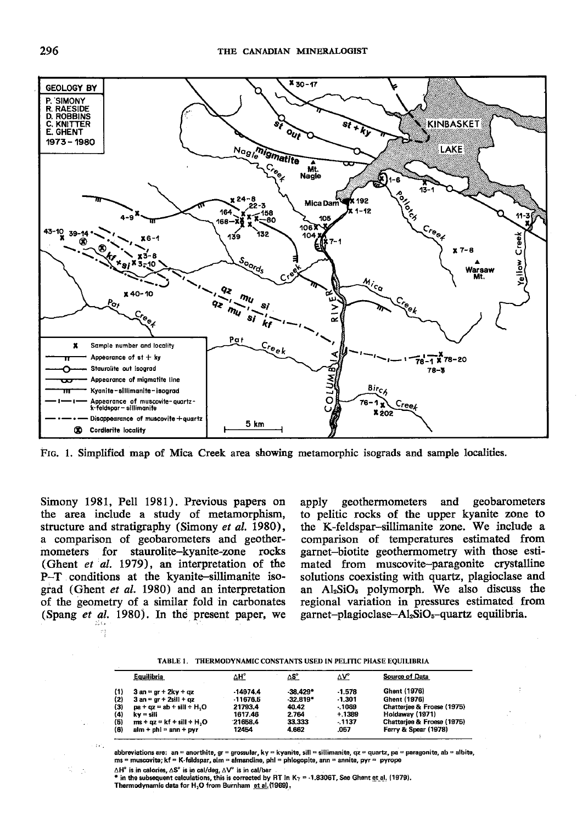

FIG. 1. Simplified map of Mica Creek area showing metamorphic isograds and sample localities.

Simony 1981, Pell 1981). Previous papers on the area include a study of metamorphism, structure and stratigraphy (Simony *et al.* 1980), a comparison of geobarometers and geothermometers for staurolite-kyanite-zone rocks (Ghent et al. 1979), an interpretation of the P-T conditions at the kyanite-sillimanite isograd (Ghent et al. 1980) and an interpretation of the geometry of a similar fold in carbonates (Spang et al. 1980). In the present paper, we

geothermometers and geobarometers apply to pelitic rocks of the upper kyanite zone to the K-feldspar-sillimanite zone. We include a comparison of temperatures estimated from garnet-biotite geothermometry with those estimated from muscovite-paragonite crystalline solutions coexisting with quartz, plagioclase and an Al<sub>2</sub>SiO<sub>5</sub> polymorph. We also discuss the regional variation in pressures estimated from garnet-plagioclase-Al<sub>2</sub>SiO<sub>5</sub>-quartz equilibria.

| TABLE 1. THERMODYNAMIC CONSTANTS USED IN PELITIC PHASE EQUILIBRIA |
|-------------------------------------------------------------------|
|                                                                   |

|    | Equilibria                  | $\Delta H^{\circ}$ | ΔS°        | $\Delta V^{\circ}$ | Source of Data             |
|----|-----------------------------|--------------------|------------|--------------------|----------------------------|
| 1) | $3$ an = $gr + 2ky + qz$    | $-14974.4$         | $-38.429*$ | $-1.578$           | Ghent (1976)               |
| 2) | $3$ an = gr + 2sill + qz    | $-11676.5$         | $-32.819*$ | $-1.301$           | Ghent (1976)               |
| 3) | $pa + qz = ab + sill + H2O$ | 21793.4            | 40.42      | $-1069$            | Chatteriee & Froese (1975) |
| 4) | kv = sill                   | 1617.46            | 2.764      | $+.1389$           | Holdaway (1971)            |
| 5) | $ms + az = kf + sil + H2O$  | 21658.4            | 33.333     | $-1137$            | Chatteriee & Froese (1975) |
| 6) | $alm + phl = ann + pyr$     | 12454              | 4.662      | .057               | Ferry & Spear (1978)       |
|    |                             |                    |            |                    |                            |

abbreviations are: an = anorthite, gr = grossular, ky = kyanite, sill = sillimanite, qz = quartz, pa = paragonite, ab = albite, ms = muscovite; kf = K-feldspar, alm = almandine, phl = phlogopite, ann = annite, pyr = pyrope

 $\triangle H^{\circ}$  is in calories,  $\triangle S^{\circ}$  is in cal/deg,  $\triangle V^{\circ}$  is in cal/bar<br>\* in the subsequent calculations, this is corrected by RT in K<sub>7</sub> = -1.8306T, See Ghent et al. (1979). Thermodynamic data for H<sub>2</sub>O from Burnham et al. (1969).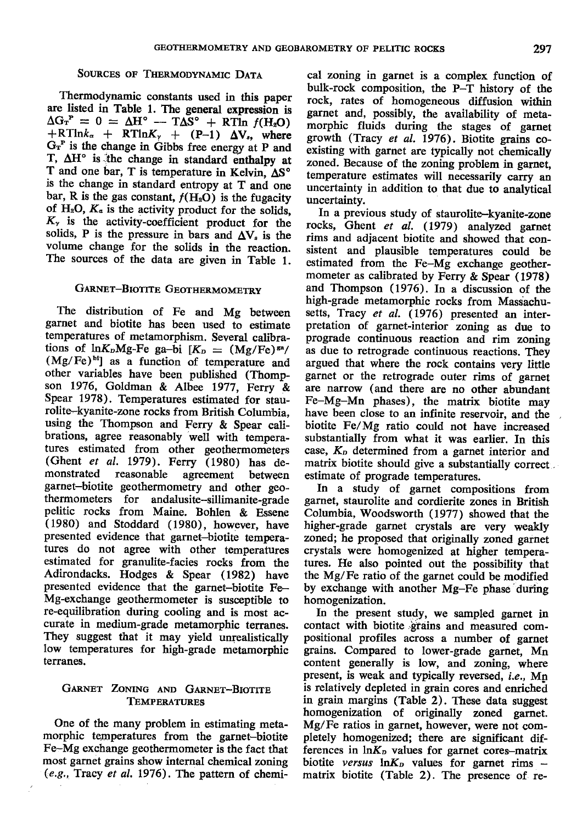#### SOURCES OF THERMODYNAMIC DATA

Thermodynamic constants used in this paper are listed in Table l. The general expression is  $\Delta G_{\rm T}^{\rm P} = 0 = \Delta H^{\circ} - T \Delta S^{\circ} + RT \ln f(H_2O)$  $+RTlnk_{\alpha} + RTlnK_{\gamma} + (P-1) \Delta V_s$ , where  $G_T^P$  is the change in Gibbs free energy at P and T,  $\Delta H^{\circ}$  is the change in standard enthalpy at T and one bar, T is temperature in Kelvin,  $\Delta S^{\circ}$ is the change in standard entropy at T and one bar, R is the gas constant,  $f(H_2O)$  is the fugacity of  $H_2O$ ,  $K_a$  is the activity product for the solids,  $K<sub>r</sub>$  is the activity-coefficient product for the solids, P is the pressure in bars and  $\Delta V_s$  is the volume change for the solids in the reaction. The sources of the data are given in Table l.

## GARNET-BIOTITE GEOTHERMOMETRY

The distribution of Fe and Mg between garnet and biotite has been used to estimate temperatures of metamorphism. Several calibrations of  $ln K<sub>p</sub>Mg-Fe$  ga-bi  $K<sub>p</sub> = (Mg/Fe)<sup>ga</sup>/$  $(Mg/Fe)^{bi}$ ] as a function of temperature and other variables have been published (Thompson 1976, Goldman & Albee 1977, Ferry & Spear 1978). Temperatures estimated for staurolite-kyanite-zone rocks from British Columbia. using the Thompson and Ferry & Spear calibrations, agree reasonably well with temperatures estimated from other geotherrnometers (Ghent et al. 1979). Ferry  $(1980)$  has de-<br>monstrated reasonable agreement between agreement between garnet-biotite geothermometry and other geothermometers for andalusite-sillimanite-grade pelitic rocks from Maine. Bohlen & Essene (1980) and Stoddard (1980), however, have presented evidence that garnet-biotite temperatures do not agree with other temperatures estimated for granulite-facies rocks from the Adirondacks. Hodges & Spear (1982) have presented evidence that the garnet-biotite Fe-Mg-exchange geothermometer is susceptible to re-equilibration during cooling and is most accurate in medium-grade metamorphic terranes. They suggest that it may yield unrealistically low temperatures for high-grade metamorphic terranes.

## GARNET ZONING AND GARNET-BIOTITE **TEMPERATURES**

One of the many problem in estimating metamorphic temperatures from the garnet-biotite Fe-Mg exchange geothermometer is the fact that most garnet grains show internal chemical zoning  $(e.g.,\ Tracy et al.$  1976). The pattern of chemical zoning in garnet is a complex function of bulk-rock composition, the P-T history of the rock, rates of homogeneous diffusion within garnet and, possibly, the availability of metamorphic fluids during the stages of garnet growth (Tracy et aI. 1976). Biotite grains coexisting with garnet are typically not chemically zoned. Because of the zoning problem in garnet, temperature estimates will necessarily carry an uncertainty in addition to that due to analytical uncertainty.

In a previous study of staurolite--kyanite-zone rocks, Ghent et al. (1979) analyzed garnet rims and adjacent biotite and showed that consistent and plausible temperatures could be estimated from the Fe-Mg exchange geothermometer as calibrated by Ferry & Spear (1978) and Thompson (1976).In a discussion of the high-grade metamorphic rocks from Massachusetts, Tracy et al. (1976) presented an interpretation of garnet-interior zoning as due to prograde continuous reaction and rim zoning as due to retrograde continuous reactions. They argued that where the rock contains very little garnet or the retrograde outer rims of garnet are narrow (and there are no other abundant Fe-Mg-Mn phases), the matrix biotite may have been close to an infinite reservoir, and the biotite Fe/Mg ratio could not have increased substantially from what it was earlier. In this case, Ko determined from a garnet interior and matrix biotite should give a substantially correct estimate of prograde temperatures.

In a study of garnet compositions from garnet, staurolite and cordierite zones in British Columbia, Woodsworth (1977) showed that the higher-grade garnet crystals are very weakly zoned; he proposed that originally zoned garnet crystals were homogenized at higher temperatures, He also pointed out the possibility that the Mg/Fe ratio of the garnet could be modified by exchange with another Mg-Fe phase during homogenization.

In the present study, we sampled garnet in contact with biotite grains and measured compositional profiles across a number of garnet gtains. Compared to lower-grade garnet, Mn content generally is low, and zoning, where present, is weak and typically reversed, i.e., Mn is relatively depleted in grain cores and enriched in grain margins (Table 2). These data suggest homogenization of originally zoned garnet. Mg/Fe ratios in garnet, however, were not completely homogenized; there are significant differences in  $\ln K_p$  values for garnet cores-matrix biotite versus  $ln K_p$  values for garnet rims matrix biotite (Table 2). The presence of re-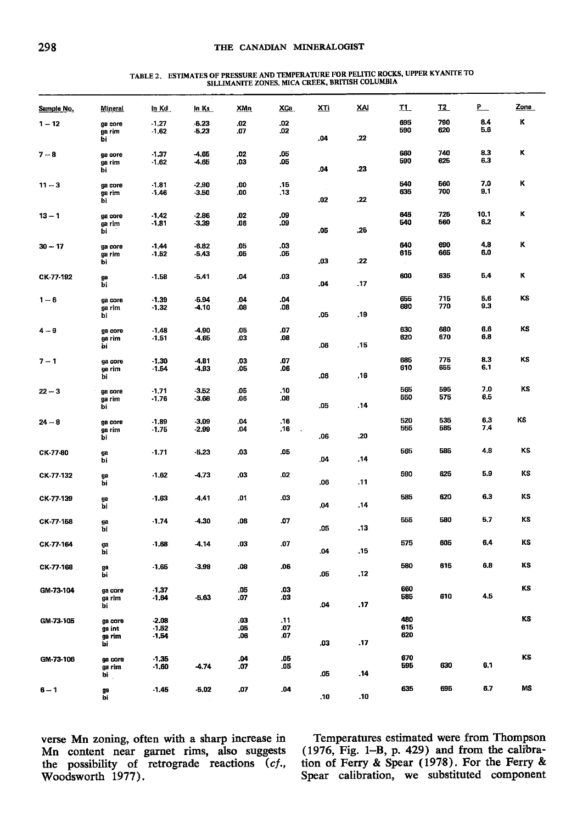# ${\small\texttt{TABLE 2. ESTIMATES OF PRESURE AND TEMPERATURE FOR PELITIC ROCKS, UPPER KYANTTE TO} \\ \hspace*{2.5in} \texttt{SILLIMANTE ZONES, MICA CREEK, BRITISH COLUMBIA}$

| Sample No. | <b>Mineral</b>    | In Kd              | ln Ks              | XMn        | XCa        | <u>XTi</u> | XAI  | T <sub>1</sub> | <u>T2</u>  | <u>P_</u>   | Zone |
|------------|-------------------|--------------------|--------------------|------------|------------|------------|------|----------------|------------|-------------|------|
| $1 - 12$   | ga core           | $-1.27$            | $-5.23$            | .02        | .02        |            |      | 695<br>590     | 790<br>620 | 8.4<br>5.6  | κ    |
|            | ga rim<br>bi      | $-1,62$            | $-5.23$            | .07        | .02        | .04        | .22  |                |            |             |      |
| $7 - 8$    | ga core           | $-1.37$            | -4.65              | .02        | .05        |            |      | 660            | 740        | 8.3         | ĸ    |
|            | ga rim<br>bi      | $-1.62$            | -4.65              | .03        | .05        | .04        | .23  | 590            | 625        | 6.3         |      |
| $11 - 3$   | ga core           | $-1.81$            | $-2.90$            | .00        | .15        |            |      | 540            | 560        | 7.0         | κ    |
|            | ga rim            | $-1.46$            | -3.50              | .00        | .13        |            |      | 635            | 700        | 9.1         |      |
|            | bi                |                    |                    |            |            | .02        | .22  |                |            |             |      |
| $13 - 1$   | ga core<br>ga rim | $-1.42$<br>$-1.81$ | $-2.86$<br>-3.39   | .02<br>.06 | .09<br>.09 |            |      | 645<br>540     | 725<br>560 | 10.1<br>6.2 | κ    |
|            | bi                |                    |                    |            |            | .05        | .25  |                |            |             |      |
| $30 - 17$  | ga core           | $-1.44$            | $-6.82$            | .05        | .03        |            |      | 640<br>615     | 690<br>665 | 4,8<br>6,0  | ĸ    |
|            | ga rim<br>bi      | $-1.52$            | $-5.43$            | .05        | .05        | .03        | .22  |                |            |             |      |
| CK-77-192  | gø                | $-1.58$            | $-5.41$            | .04        | .03        |            |      | 600            | 635        | 5,4         | κ    |
|            | bi                |                    |                    |            |            | .04        | .17  |                |            |             |      |
| $1-6$      | ga core           | $-1.39$<br>$-1.32$ | $-5.94$<br>-4.10   | .04<br>.08 | .04<br>.08 |            |      | 655<br>680     | 715<br>770 | 5.6<br>9.3  | KS   |
|            | ga rim<br>bi      |                    |                    |            |            | .05        | .19  |                |            |             |      |
| 4 – 9      | ga core           | $-1.48$            | -4.90              | .05        | .07        |            |      | 630            | 680        | 6.6         | KS   |
|            | ga rim<br>bi      | $-1.51$            | 4.65               | .03        | .08        | .06        | .15  | 620            | 670        | 6.8         |      |
| $7 - 1$    | ga core           | $-1.30$            | $-4.81$            | .03        | .07        |            |      | 685            | 775        | 8.3         | KS   |
|            | ga rim            | $-1.54$            | -4,93              | .06        | .06        |            |      | 610            | 655        | 6.1         |      |
|            | bi                |                    |                    |            |            | .06        | .16  |                |            |             |      |
| $22 - 3$   | ga core<br>ga rim | $-1,71$<br>$-1,76$ | $-3.52$<br>$-3.68$ | .05<br>.06 | .10<br>.08 |            |      | 565<br>550     | 595<br>575 | 7.0<br>6.5  | KS   |
|            | bi                |                    |                    |            |            | .05        | .14  |                |            |             |      |
| $24 - 8$   | ga core           | $-1.89$<br>$-1.75$ | $-3,09$<br>$-2.99$ | ,04<br>.04 | .16<br>.16 |            |      | 520<br>555     | 535<br>585 | 6,3<br>7.4  | ΚS   |
|            | ga rim<br>bi      |                    |                    |            |            | .06        | .20  |                |            |             |      |
| CK-77-80   | ga                | $-1.71$            | $-5,23$            | .03        | .05        |            |      | 565            | 585        | 4.8         | KS   |
|            | bi                |                    |                    |            |            | .04        | . 14 |                |            |             |      |
| CK-77-132  | ga<br>bi          | $-1.62$            | -4.73              | .03        | .02        | .06        | .11  | 590            | 625        | 5,9         | ΚS   |
|            |                   |                    |                    | .01        | .03        |            |      | 585            | 620        | 6,3         | κs   |
| CK-77-139  | ge<br>bi          | $-1.63$            | $-4,41$            |            |            | .04        | .14  |                |            |             |      |
| CK-77-158  | ga                | $-1.74$            | $-4.30$            | .08        | .07        |            |      | 555            | 580        | 5.7         | KS   |
|            | bi                |                    |                    |            |            | .05        | .13  |                |            |             |      |
| CK-77-164  | ga<br>bi          | $-1.68$            | -4.14              | .03        | .07        | .04        | .15  | 575            | 605        | 6,4         | KS   |
|            |                   |                    |                    |            |            |            |      | 580            | 615        | 6.8         | KS   |
| CK-77-168  | ga<br>bi          | $-1.66$            | $-3.98$            | .08        | .06        | .05        | .12  |                |            |             |      |
| GM-73-104  | ga core           | $-1.37$            |                    | .05        | .03        |            |      | 660            |            |             | KS   |
|            | ga rim<br>bi      | $-1.64$            | $-6.63$            | .07        | .03        | .04        | .17  | 585            | 610        | 4.5         |      |
| GM-73-105  |                   | $-2.08$            |                    | .03        | .11        |            |      | 480            |            |             | KS   |
|            | ga core<br>ga int | $-1.52$            |                    | .05        | .07        |            |      | 615            |            |             |      |
|            | ga rim<br>bi      | $-1.54$            |                    | .06        | .07        | .03        | .17  | 620            |            |             |      |
| GM-73-106  | ga core           | $-1.35$            |                    | .04        | .05        |            |      | 670            |            |             | KS   |
|            | ga rim<br>bi      | $-1.60$            | -4.74              | .07        | .05        | .05        | .14  | 595            | 630        | 6.1         |      |
|            |                   |                    |                    |            |            |            |      | 635            | 695        | 6.7         | MS   |
| $6 - 1$    | ga<br>bi          | $-1.45$            | $-5.02$            | .07        | .04        | .10        | .10  |                |            |             |      |

verse Mn zoning, often with a sharp increase in Mn content near garnet rims, also suggests<br>the possibility of retrograde reactions (cf., Woodsworth 1977).

Temperatures estimated were from Thompson  $(1976,$  Fig. 1-B, p. 429) and from the calibration of Ferry & Spear (1978). For the Ferry & Spear calibration, we substituted component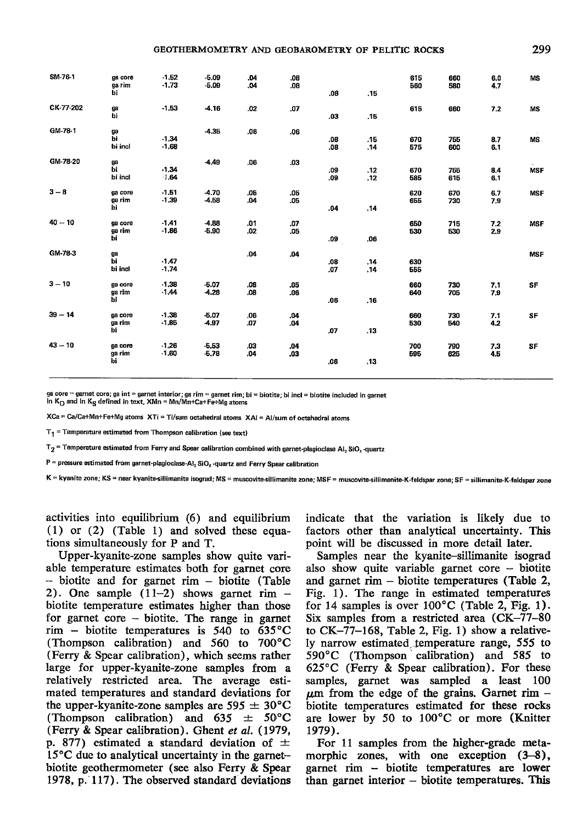| SM-76-1   | ga core<br>ga rim<br>bi  | $-1.52$<br>$-1.73$ | $-5.09$<br>$-5.09$ | .04<br>.04 | .08<br>.08. | .08        | .15        | 615<br>560 | 660<br>580 | 6.0<br>4,7 | <b>MS</b>  |
|-----------|--------------------------|--------------------|--------------------|------------|-------------|------------|------------|------------|------------|------------|------------|
| CK-77-202 | ga<br>ыī                 | $-1,53$            | -4.16              | .02        | .07         | .03.       | .15        | 615        | 660        | 7.2        | <b>MS</b>  |
| GM-78-1   | ga<br>Ьi<br>bi incl      | $-1.34$<br>$-1.68$ | $-4.35$            | .06        | .06         | .08<br>.08 | .15<br>.14 | 670<br>575 | 755<br>600 | 8.7<br>6,1 | MS         |
| GM-78-20  | ga<br>ьi<br>bi incl      | $-1.34$<br>$-1.64$ | -4.49              | .06        | .03         | .09<br>.09 | .12<br>.12 | 670<br>585 | 755<br>615 | 8.4<br>6.1 | <b>MSF</b> |
| $3-8$     | ga core<br>ga rim<br>bi  | $-1.51$<br>$-1.39$ | $-4.70$<br>$-4.58$ | .05<br>,04 | .05<br>.05  | .04        | .14        | 620<br>655 | 670<br>730 | 6.7<br>7.9 | <b>MSF</b> |
| $40 - 10$ | ga core<br>ga rim<br>bi  | $-1.41$<br>$-1.86$ | $-4.88$<br>$-5.90$ | .01<br>.02 | .07<br>.05  | .09        | .06        | 650<br>530 | 715<br>530 | 7.2<br>2.9 | <b>MSF</b> |
| GM-78-3   | ga<br>bi<br>bi incl      | $-1.47$<br>$-1.74$ |                    | .04        | .04         | .08<br>.07 | .14<br>.14 | 630<br>555 |            |            | <b>MSF</b> |
| $3 - 10$  | ga core<br>ga rim<br>bi  | $-1,38$<br>$-1.44$ | $-6.07$<br>$-4.28$ | .08<br>.08 | .05<br>.06  | .06        | .16        | 660<br>640 | 730<br>705 | 7.1<br>7.9 | SF         |
| $39 - 14$ | ga core<br>ga rim<br>hi. | $-1,38$<br>$-1.85$ | $-6.07$<br>-4.97   | .06<br>.07 | .04<br>.04  | .07        | .13        | 660<br>530 | 730<br>540 | 7.1<br>4.2 | SF         |
| $43 - 10$ | ga core<br>ga rim<br>bi  | $-1.26$<br>$-1.60$ | $-5.53$<br>$-5.78$ | 03<br>.04  | .04<br>.03. | .06        | .13        | 700<br>595 | 790<br>625 | 7,3<br>4.5 | SF         |

core = garnet core; ga int = garnet interior; ga rim = garnet rim; bi = biotite; bi incl = biotite included in garnet

In  $K_D$  and In  $K_S$  defined in text,  $XMn = Mn/Mn + Ca + Fe + Mg$  atoms

XCa = Ca/Ca+Mn+Fe+Mg atoms XTi = Ti/sum octahedral atoms XAI = Al/sum of octahedral atoms

 $T_1$  = Temperature estimated from Thompson calibration (see text)

 $T_2$  = Temperature estimated from Ferry and Spear calibration combined with garnet-plagioclase Al<sub>2</sub> SiO<sub>s</sub> -quartz

 $P =$  pressure estimated from garnet-plagioclase-Al<sub>2</sub> SiO<sub>5</sub> -quartz and Ferry Spear calibration

K = kyanite zone; KS = near kyanite-sillimanite isograd; MS = muscovite-sillimanite zone; MSF = muscovite-sillimanite-K-feldspar zone; SF = sillimanite-K-feldspar zone

activities into equilibrium (6) and equilibrium  $(1)$  or  $(2)$  (Table 1) and solved these equations simultaneously for P and T.

Upper-kyanite-zone samples show quite variable temperature estimates both for garnet core  $-$  biotite and for garnet rim  $-$  biotite (Table 2). One sample  $(11-2)$  shows garnet rim biotite temperature estimates higher than those for garnet core  $-$  biotite. The range in garnet rim – biotite temperatures is 540 to  $635^{\circ}$ C (Thompson calibration) and 560 to 700°C (Ferry & Spear calibration), which seems rather large for upper-kyanite-zone samples from a relatively restricted area. The average estimated temperatures and standard deviations for the upper-kyanite-zone samples are  $595 \pm 30^{\circ}$ C (Thompson calibration) and 635  $\pm$  50°C (Ferry & Spear calibration). Ghent et al. (1979, p. 877) estimated a standard deviation of  $\pm$  $15^{\circ}$ C due to analytical uncertainty in the garnetbiotite geothermometer (see also Ferry & Spear 1978, p. 117). The observed standard deviations

indicate that the variation is likely due to factors other than analytical uncertainty. This point will be discussed in more detail later.

Samples near the kyanite-sillimanite isograd also show quite variable garnet core  $-$  biotite and garnet rim  $-$  biotite temperatures (Table 2, Fig. 1). The range in estimated temperatures for 14 samples is over  $100^{\circ}$ C (Table 2, Fig. 1). Six samples from a restricted area (CK-77-80) to  $CK-77-168$ , Table 2, Fig. 1) show a relatively narrow estimated temperature range, 555 to 590 °C (Thompson calibration) and 585 to  $625^{\circ}$ C (Ferry & Spear calibration). For these samples, garnet was sampled a least 100  $\mu$ m from the edge of the grains. Garnet rim – biotite temperatures estimated for these rocks are lower by 50 to 100°C or more (Knitter 1979).

For 11 samples from the higher-grade metamorphic zones, with one exception  $(3-8)$ , garnet rim - biotite temperatures are lower than garnet interior – biotite temperatures. This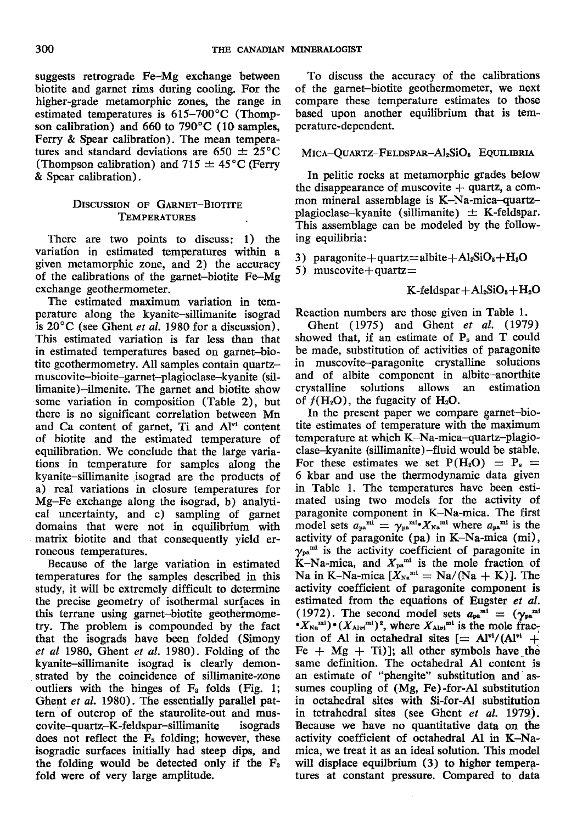suggests retrograde Fe-Mg exchange between biotite and garnet rims during cooling. For the higher-grade metamorphic zones, the range in estimated temperatures is  $615-700^{\circ}$ C (Thompson calibration) and 660 to 790'C (10 samples, Ferry & Spear calibration). The mean temperatures and standard deviations are  $650 \pm 25^{\circ}$ C (Thompson calibration) and  $715 \pm 45^{\circ}$ C (Ferry & Spear calibration).

#### DISCUSSION OF GARNET-BIOTITE TEMPERATURES

There are two points to discuss: 1) the variation in estimated temperatures within a given metamorphic zone, and 2) the accuracy of the calibrations of the garnet-biotite Fe-Mg exchange geothermometer.

The estimated maximum variation in temperature along the kyanite-sillimanite isograd is  $20^{\circ}$ C (see Ghent *et al.* 1980 for a discussion). This estimated variation is far less than that in estimated temperatures based on garnet-biotite geothermometry. All samples contain quartzmuscovite-bioite-garnet-plagioclase-kyanite (sillimanite)-ilmenite. The garnet and biotite show .some variation in composition (Table 2), but there is no significant correlation between Mn and Ca content of garnet, Ti and  $Al<sup>vi</sup>$  content of biotite and the estimated temperature of equilibration. We conclude that the large variations in temperature for samples along the kyanite-sillimanite isograd are the products of a) real variations in closure temperatures for Mg-Fe exchange along the isograd, b) analyti cal uncertainty, and c) sampling of garnet domains that were not in equilibrium with matrix biotite and that consequently yield erroneous temperatures.

Because of the large variation in estimated temperatures for the samples described in this study, it will be extremely difficult to determine the precise geometry of isothermal surfaces in this terrane using garnet-biotite geothermometry. The problem is compounded by the fact that the isograds have been folded (Simony et al 1980, Ghent et al. 1980). Folding of the kyanite-sillimanite isograd is clearly demonstrated by the coincidence of sillimanite-zone outliers with the hinges of  $F_3$  folds (Fig. 1; Ghent et al. 1980). The essentially parallel pattern of outcrop of the staurolite-out and muscovite-quartz-K-feldspar-sillimanite isograds does not reflect the Fa folding; however, these isogradic surfaces initially had steep dips, and the folding would be detected only if the  $F_a$ fold were of very large amplitude.

To discuss the accuracy of the calibrations of the garnet-biotite geothermometer, we next compare these temperature estimates to those based upon another equilibrium that is temperature-dependent.

## MICA-QUARTZ-FELDSPAR-Al2SiO<sub>s</sub> EQUILIBRIA

In pelitic rocks at metamorphic grades below the disappearance of muscovite  $+$  quartz, a common mineral assemblage is K-Na-mica-quartzplagioclase-kyanite (sillimanite)  $\pm$  K-feldspar. This assemblage can be modeled by the following equilibria:

3) paragonite+quartz=albite+Al<sub>2</sub>SiO<sub>5</sub>+H<sub>2</sub>O

5) muscovite  $+$ quartz $=$ 

 $K$ -feldspar + Al<sub>2</sub>SiO<sub>5</sub> + H<sub>2</sub>O

Reaction numbers are those given in Table 1.

Ghent (1975) and Ghent  $et \ al.$  (1979) showed that, if an estimate of  $P_s$  and  $T$  could be made, substitution of activities of paragonite in muscovite-paragonite crystalline solutions and of albite component in albite-anorthite<br>crystalline solutions allows an estimation crystalline solutions allows an of  $f(H_2O)$ , the fugacity of  $H_2O$ .

In the present paper we compare garnet-biotite estimates of temperature with the maximum temperature at which K-Na-mica-quartz-plagioclase-kyanite (sillimanite)-fluid would be stable. For these estimates we set  $P(H_2O) = P_s =$ 6 kbar and use the thermodynamic data given in Table 1. The temperatures have been estimated using two models for the activity of paragonite component in K-Na-mica. The first model sets  $a_{pa}^{mi} = \gamma_{pa}^{mi} X_{Na}^{mi}$  where  $a_{pa}^{mi}$  is the activity of paragonite (pa) in K-Na-mica (mi),  $\gamma_{pa}$ <sup>mi</sup> is the activity coefficient of paragonite in K-Na-mica, and  $X_{pa}^{mt}$  is the mole fraction of Na in K-Na-mica  $[X_{\text{Na}}^{\text{mi}} = \text{Na}/(\text{Na} + \text{K})]$ . The activity coefficient of paragonite component is estimated from the equations of Eugster *et al.* (1972). The second model sets  $a_{pa}^{mt} = (\gamma_{pa}^{mt})$  $(X_{N\alpha}^{m1})\cdot (X_{\text{Alvi}}^{m1})^2$ , where  $X_{\text{Alvi}}^{m1}$  is the mole fraction of Al in octahedral sites  $[= Al^{ri}/(Al^{vi} +$ Fe  $+$  Mg  $+$  Ti)]; all other symbols have the same definition. The octahedral Al content is an estimate of "phengite" substitution and assumes coupling of (Mg, Fe)-for-Al substitution in octahedral sites with Si-for-Al substitution in tetrahedral sites (see Ghent et al. 1979), Because we have no quantitative data on the activity coefficient of octahedral Al in K-Namica, we treat it as an ideal solution. This model will displace equilibrium  $(3)$  to higher temperatures at constant pressure. Compared to data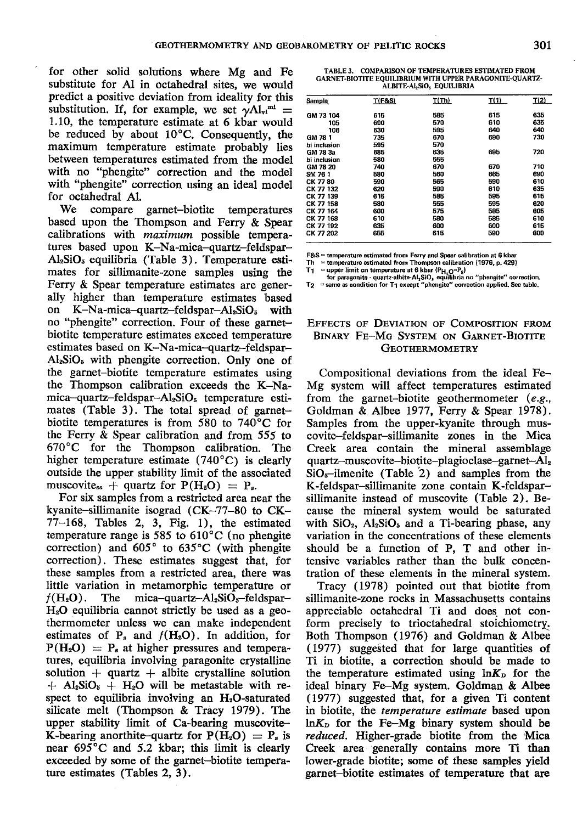for other solid solutions where Mg and Fe substitute for Al in octahedral sites, we would predict a positive deviation from ideality for this substitution. If, for example, we set  $\gamma Al_{\rm vt}{}^{\rm mt}$  = 1.10, the temperature estimate at 6 kbar would be reduced by about  $10^{\circ}$ C. Consequently, the maximum temperature estimate probably lies between temperatures estimated from the model with no "phengite" correction and the model with "phengite" correction using an ideal model for octahedral A1.

We compare garnet-biotite temperatures based upon the Thompson and Ferry & Spear calibrations with maximum possible temperatures based upon K-Na-mica-quartz-feldspar- $Al<sub>2</sub>SiO<sub>5</sub>$  equilibria (Table 3). Temperature estimates for sillimanite-zone samples using the Ferry & Spear temperature estimates are generally higher than temperature estimates based on  $K-Na-mica-quartz-fieldspan-Al<sub>2</sub>SiO<sub>5</sub> with$ no "phengite" correction. Four of these garnetbiotite temperature estimates exceed temperature estimates based on K–Na-mica-quartz-feldspar- $Al<sub>2</sub>SiO<sub>5</sub>$  with phengite correction. Only one of the garnet-biotite temperature estimates using the Thompson calibration exceeds the K-Namica-quartz-feldspar-AleSiOs temperature estimates (Table 3). The total spread of garnetbiotite temperatures is from 580 to  $740^{\circ}$ C for the Ferry & Spear calibration and from 555 to 67O"C for the Thompson calibration. The higher temperature estimate  $(740^{\circ}$ C) is clearly outside the upper stability limit of the associated muscovite<sub>ss</sub>  $+$  quartz for  $P(H_2O) = P_s$ .

For six samples from a restricted area near the kyanite-sillimanite isograd (CK-77-80 to CK-77-168, Tables 2, 3, Fig. 1), the estimated temperature range is 585 to 610"C (no phengite correction) and  $605^\circ$  to  $635^\circ$ C (with phengite correction). These estimates suggest that, for these samples from a restricted area, there was little variation in metamorphic temperature or  $f(H_2O)$ . The mica-quartz-Al<sub>2</sub>SiO<sub>s</sub>-feldspar- $H<sub>2</sub>O$  equilibria cannot strictly be used as a geothermometer unless we can make independent estimates of  $P_s$  and  $f(H_2O)$ . In addition, for  $P(H_2O) = P_s$  at higher pressures and temperatures, equilibria involving paragonite crystalline solution  $+$  quartz  $+$  albite crystalline solution  $+$  Al<sub>2</sub>SiO<sub>5</sub> + H<sub>2</sub>O will be metastable with respect to equilibria involving an H<sub>2</sub>O-saturated silicate melt (Thompson & Tracy 1979). The upper stability limit of Ca-bearing muscovite-K-bearing anorthite-quartz for  $P(H_2O) = P_s$  is nedr 695'C and 5.2 kbar; this limit is clearly exceeded by some of the garnet-biotite temperature estimates (Tables 2, 3).

| TABLE 3. | <b>COMPARISON OF TEMPERATURES ESTIMATED FROM</b>         |  |
|----------|----------------------------------------------------------|--|
|          | GARNET-BIOTITE EQUILIBRIUM WITH UPPER PARAGONITE-OUARTZ- |  |
|          | ALBITE-ALSIO, EQUILIBRIA                                 |  |

| <b>Sample</b> | T(F&S) | T(Th) | I(1) | T(2) |
|---------------|--------|-------|------|------|
| GM 73 104     | 615    | 535   | 615  | 635  |
| 105           | 600    | 570   | 610  | 635  |
| 106           | 630    | 595   | 640  | 640  |
| GM 78 1       | 735    | 670   | 690  | 730  |
| bi inclusion  | 595    | 570   |      |      |
| GM 78 3a      | 685    | 635   | 695  | 720  |
| bi inclusion  | 580    | 555   |      |      |
| GM 78 20      | 740    | 670   | 670  | 710  |
| SM 761        | 580    | 560   | 665  | 690  |
| CK 7780       | 590    | 565   | 590  | 610  |
| CK 77 132     | 620    | 590   | 610  | 635  |
| CK 77 139     | 615    | 585   | 595  | 615  |
| CK 77 158     | 580    | 555   | 595  | 620  |
| CK 77 164     | 600    | 575   | 585  | 605  |
| CK 77 168     | 610    | 580   | 585  | 610  |
| CK 77 192     | 635    | 600   | 600  | 615  |
| CK 77 202     | 655    | 615   | 590  | 600  |

F&S = temperature estimated from Ferry and Spear calibration at 6 kbar

Th  $=$  temperature estimated from Thompson calibration (1976, p. 429)

T1 = upper limit on temperature at 6 kbar ( $P_{H_1Q}=P_s$ )<br>for paragonite - quartz-albite-Al<sub>2</sub>SiO<sub>s</sub> equilibria no "phengite" correcti

 $T_2$  = same as condition for  $T_1$  except "phangite" correction applied. See table.

#### EFFECTS OF DEVIATION OF COMPOSITION FROM BINARY FE-MG SYSTEM ON GARNET-BIOTITE GEOTHERMOMETRY

Compositional deviations from the ideal Fe-Mg system will affect temperatures estimated from the garnet-biotite geothermometer (e.g., Goldman & Albee 1977, Ferry & Spear 1978). Samples from the upper-kyanite through muscovite-feldspar-sillimanite zones in the Mica Creek area contain the mineral assemblage quartz-muscovite-biotite-plagio clase-garnet- $Al<sub>2</sub>$  $SiO<sub>s</sub>$ -ilmenite (Table 2) and samples from the K-feldspar-sillimanite zone contain K-feldsparsillimanite instead of muscovite (Table 2). Because the mineral system would be saturated with  $SiO<sub>2</sub>$ ,  $Al<sub>2</sub>SiO<sub>5</sub>$  and a Ti-bearing phase, any variation in the concentrations of these elements should be a function of P, T and other intensive variables rather than the bulk concentration of these elements in the mineral system.

Tracy (1978) pointed out that biotite from sillimanite-zone rocks in Massachusetts contains appreciable octahedral Ti and does not conform precisely to trioctahedral stoichiometry Both Thompson (1976) and Goldman & Albee (L977) suggeSted that for large quantities of Ti in biotite, a correction should be made to the temperature estimated using  $\ln K_{\text{D}}$  for the ideal binary Fe-Mg system. Goldman & Albee (1977) suggested that, for a given Ti content in biotite, the temperature estimate based upon  $ln K<sub>D</sub>$  for the Fe-Mg binary system should be reduced, Higher-grade biotite from the Mica Creek area generally contains more Ti than lower-grade biotite; some of these samples yield garnet-biotite estimates of temperature that arc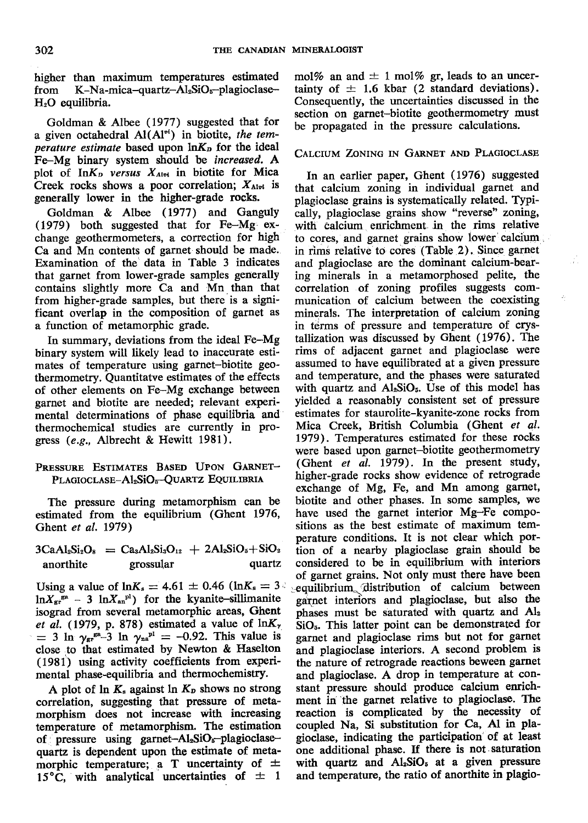higher than maximum temperatures estimated K-Na-mica-quartz-Al2SiO<sub>5</sub>-plagioclasefrom  $H<sub>2</sub>O$  equilibria.

Goldman & Albee (1977) suggested that for a given octahedral  $Al(Al^{vi})$  in biotite, the temperature estimate based upon lnK<sub>p</sub> for the ideal Fe-Mg binary system should be increased. A plot of InK<sub>p</sub> versus X<sub>Alvi</sub> in biotite for Mica Creek rocks shows a poor correlation;  $X_{\text{Alot}}$  is generally lower in the higher-grade rocks.

Goldman & Albee (1977) and Ganguly  $(1979)$  both suggested that for Fe-Mg exchange geothermometers, a correction for high Ca and Mn contents of garnet should be made. Examination of the data in Table 3 indicates that garnet from lower-grade samples generally contains slightly more Ca and Mn than that from higher-grade samples, but there is a significant overlap in the composition of garnet as a function of metamorphic grade.

In summary, deviations from the ideal Fe-Mg binary system will likely lead to inaccurate estimates of temperature using garnet-biotite geothermometry. Quantitatve estimates of the effects of other elements on Fe-Mg exchange between garnet and biotite are needed; relevant experimental determinations of phase equilibria and thermochemical studies are currently in progress  $(e.g.,$  Albrecht & Hewitt 1981).

## PRESSURE ESTIMATES BASED UPON GARNET-PLAGIOCLASE-Al2SiO<sub>5</sub>-QUARTZ EQUILIBRIA

The pressure during metamorphism can be estimated from the equilibrium (Ghent 1976, Ghent et al. 1979)

 $3CaAl<sub>2</sub>Si<sub>2</sub>O<sub>8</sub> = Ca<sub>3</sub>Al<sub>2</sub>Si<sub>3</sub>O<sub>12</sub> + 2Al<sub>8</sub>SiO<sub>5</sub>+SiO<sub>2</sub>$ anorthite grossular quartz

Using a value of  $ln K_s = 4.61 \pm 0.46$  ( $ln K_s = 3$ )  $\ln X_{\rm gr}^{\rm ga}$  - 3  $\ln X_{\rm an}^{\rm pl}$ ) for the kyanite-sillimanite isograd from several metamorphic areas, Ghent et al. (1979, p. 878) estimated a value of  $ln K_{\gamma}$  $=$  3 ln  $\gamma_{\rm gr}^{\rm ga}$  3 ln  $\gamma_{\rm na}^{\rm pl}$  = -0.92. This value is close to that estimated by Newton & Haselton (1981) using activity coefficients from experimental phase-equilibria and thermochemistry.

A plot of  $\ln K_s$  against  $\ln K_p$  shows no strong correlation, suggesting that pressure of metamorphism does not increase with increasing temperature of metamorphism. The estimation of pressure using garnet- $Al_2SiO_6$ -plagioclasequartz is dependent upon the estimate of metamorphic temperature; a T uncertainty of  $\pm$ 15°C, with analytical uncertainties of  $\pm$  1

mol% an and  $\pm$  1 mol% gr, leads to an uncertainty of  $\pm$  1.6 kbar (2 standard deviations). Consequently, the uncertainties discussed in the section on garnet-biotite geothermometry must be propagated in the pressure calculations.

## CALCIUM ZONING IN GARNET AND PLAGIOCLASE

In an earlier paper, Ghent (1976) suggested that calcium zoning in individual garnet and plagioclase grains is systematically related. Typically, plagioclase grains show "reverse" zoning, with calcium enrichment in the rims relative to cores, and garnet grains show lower calcium in rims relative to cores (Table 2). Since garnet and plagioclase are the dominant calcium-bearing minerals in a metamorphosed pelite, the correlation of zoning profiles suggests communication of calcium between the coexisting minerals. The interpretation of calcium zoning in terms of pressure and temperature of crystallization was discussed by Ghent (1976). The rims of adjacent garnet and plagioclase were assumed to have equilibrated at a given pressure and temperature, and the phases were saturated with quartz and Al<sub>2</sub>SiO<sub>5</sub>. Use of this model has vielded a reasonably consistent set of pressure estimates for staurolite-kyanite-zone rocks from Mica Creek, British Columbia (Ghent et al. 1979). Temperatures estimated for these rocks were based upon garnet-biotite geothermometry (Ghent et al. 1979). In the present study, higher-grade rocks show evidence of retrograde exchange of Mg, Fe, and Mn among garnet, biotite and other phases. In some samples, we have used the garnet interior Mg-Fe compositions as the best estimate of maximum temperature conditions. It is not clear which portion of a nearby plagioclase grain should be considered to be in equilibrium with interiors of garnet grains. Not only must there have been equilibrium distribution of calcium between garnet interiors and plagioclase, but also the phases must be saturated with quartz and Al<sub>2</sub>  $SiO<sub>5</sub>$ . This latter point can be demonstrated for garnet and plagioclase rims but not for garnet and plagioclase interiors. A second problem is the nature of retrograde reactions beween garnet and plagioclase. A drop in temperature at constant pressure should produce calcium enrichment in the garnet relative to plagioclase. The reaction is complicated by the necessity of coupled Na, Si substitution for Ca, Al in plagioclase, indicating the participation of at least one additional phase. If there is not saturation with quartz and Al<sub>2</sub>SiO<sub>5</sub> at a given pressure and temperature, the ratio of anorthite in plagio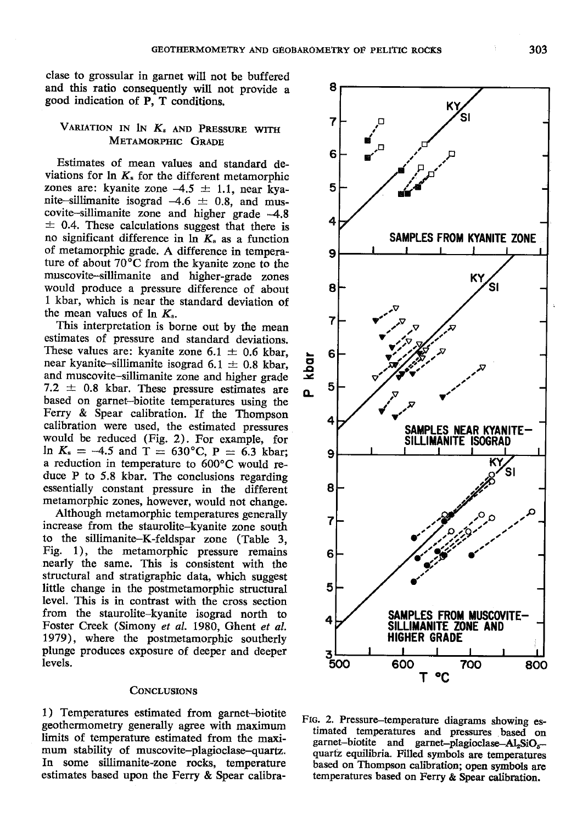clase to grossular in garnet will not be buffered and this ratio consequently will not provide a good indication of P, T conditions.

## VARIATION IN  $K_s$  and Pressure with METAMORPHIC GRADE

Estimates of mean values and standard deviations for  $\ln K_s$  for the different metamorphic zones are: kyanite zone  $-4.5 \pm 1.1$ , near kyanite-sillimanite isograd  $-4.6 \pm 0.8$ , and mus $covite-sillimanite zone and higher grade  $-4.8$$  $\pm$  0.4. These calculations suggest that there is no significant difference in  $\ln K_s$  as a function of metamorphic grade. A difference in temperature of about 70'C from the kyanite zone to the muscovite-sillimanite and higher-grade zones would produce a pressure difference of about L kbar, which is near the standard deviation of the mean values of  $\ln K_{\rm s}$ .

This interpretation is borne out by the mean estimates of pressure and standard deviations. These values are: kyanite zone  $6.1 \pm 0.6$  kbar, near kyanite-sillimanite isograd 6.1  $\pm$  0.8 kbar, and muscovite-sillimanite zone and higher grade 7.2  $\pm$  0.8 kbar. These pressure estimates are based on garnet--biotite temperatures using the Ferry & Spear calibration. If the Thompson calibration wete used, the estimated pressures would be reduced (Fig. 2). For example, for ln  $K_s = -4.5$  and T = 630°C, P = 6.3 kbar; a reduction in temperature to 600°C would reduce P to 5.8 kbar. The conclusions regarding essentially constant pressure in the different metamorphic zones, however, would not change.

Although metamorphic temperatures generally increase from the staurolite-kyanite zone south to the sillimanite-K-feldspar zone (Table 3, Fig. 1), the metamorphic pressure remains nearly the same. This is consistent with the structural and stratigraphic data, which suggest little change in the postmetamorphic structural level. This is in contrast with the cross section from the staurolite-kyanite isograd north to Foster Creek (Simony et al. 198O, Ghent et al. 7979), where the postmetamorphic southerly plunge produces exposure of deeper and deeper levels.

#### CONCLUSIONS

1) Temperatures estimated from garnet--biotite geothermometry generally agree with maximum limits of temperature estimated from the maximum stability of muscovite-plagioclase-quartz. In some sillimanite-zone rocks, temperafure estimates based upon the Ferry & Spear calibra-



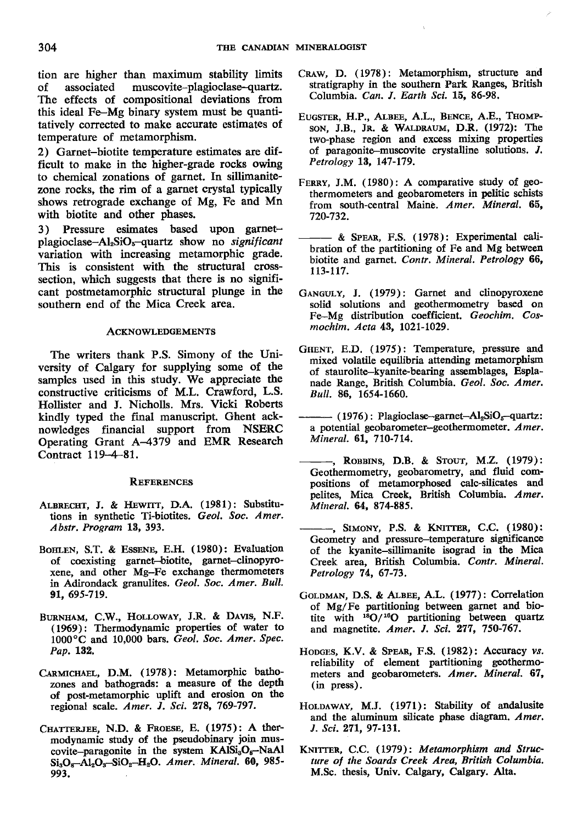tion are higher than maximum stability limits of associated muscovite-plagioclase-quartz. The effects of compositional deviations from this ideal Fe-Mg binary system must be quantitatively corrected to make accurate estimates of temperafure of metamorphism.

2) Garnet-biotite temperature estimates are difficult to make in the higher-grade rocks owing to chemical zonations of garnet. In sillimanite' zone rocks, the rim of a garnet crystal typically shows retrograde exchange of Mg, Fe and Mn with biotite and other phases.

3) Pressure esimates based upon gametplagioclase-Al<sub>2</sub>SiO<sub>5</sub>-quartz show no significant variation with increasing metamorphic grade. This is consistent with the structural crosssection, which suggests that there is no significant postmetamorphic structural plunge in the southern end of the Mica Creek area.

#### **ACKNOWLEDGEMENTS**

The writers thank P.S. Simony of the University of Calgary for supplying some of the samples used in this study. We appreciate the constructive criticisms of M.L. Crawford, L.S. Hollister and J. Nicholls. Mrs. Vicki Roberts kindly typed the final manuscript. Ghent acknowledges financial support from NSERC Operating Grant A-4379 and EMR Research Contract 119-4-81.

#### **REFERENCES**

- ALBRECHT, J. & HEWITT, D.A. (1981): Substitutions in synthetic Ti-biotites. Geol. Soc. Amer. Abstr. Program L3,393.
- BOHLEN, S.T. & ESSENE, E.H. (1980): Evaluation of coexisting garnet-biotite, garnet-clinopyroxene, and other Mg-Fe exchange therrrometers in Adirondack granulites. Geol. Soc. Amer. Bull, gl, 695-719.
- BURNHAM, C.W., HOLLOWAY, J.R. & DAVIS, N.F. (1969): Thermodynamic properties of water to 1000°C and 10,000 bars. Geol. Soc. Amer. Spec. Pap, L32,
- CARMIcHAEL, D.M. (1978): Metamorphic bathozones and bathograds: a measure of the depth of post-metamorphic uplift and erosion on tle regional scale. Amer. J. Sci. 278, 769-797.
- CHATTERJEE, N.D. & FROESE, E. (1975): A thermodynamic study of the pseudobinary join muscovite-paragonite in the system  $KAISi<sub>3</sub>O<sub>8</sub>–NaAl$  $Si<sub>3</sub>O<sub>8</sub> - Al<sub>2</sub>O<sub>8</sub> - SiO<sub>2</sub> - H<sub>2</sub>O$ . Amer. Mineral. 60, 985-993.
- CRAW, D. (1978): Metamorphism, structure and stratigraphy in the southern Park Ranges, British Columbia. Can. I. Earth Sci. 15, 86-98.
- EUGSTER, H.P., ALBEE, A.L., BENCE, A.E., THOMPson, J.B., Jr. & WALDRAUM, D.R. (1972): The two-phase region and excess mixing properties of paragonite-muscovite crystalline solutions.  $J$ . Petrology 13, 147-179.
- FERRY, J.M. (1980): A comparative study of geothermometers and geobarometers in pelitic schists from south-central Maine. Amer. Mineral. 65, 720-732.
- & SPEAR, F.S. (1978): Experimental calibration of the partitioning of Fe and Mg between biotite and garnet. Contr. Mineral. Petrology 66, 113-117.
- GANGULY, J. (1979): Garnet and clinopyroxene solid solutions and geothermometry based on Fe-Mg distribution coefficient. Geochim. Cosmochim. Acta 43, 102l-1029.
- GHENT, E.D. (1975): Temperature, pressure and mixed volatile equilibria attending metamorphism of staurolite-kyanite-bearing assemblages, Esplanade Range, British Columbia. Geol. Soc. Amer, Bull. 86, 1654-1660.
- $-$  (1976): Plagioclase-garnet-Al<sub>2</sub>SiO<sub>5</sub>-quartz: a potential geobarometer-geothermometer. Amer. Mineral. 61, 7IO-714,
- -, ROBBINS, D.B. & STOUT, M.Z. (1979): Geothermometry, geobarometry, and fluid compositions of metamorphosed calc-silicates and pelites, Mica Creek, British Columbia. Amer. Mineral. 64, 874-885.
- -, SIMONY, P.S. & KNITTER, C.C. (1980): Geometry and pressure-temperature significance of the kyanite-sillimanite isograd in the Mica Creek area, British Columbia. Contr. Mineral, Petrology 74, 67-73,
- GOLDMAN, D.S. & ALBEE, A.L. (1977): Correlation of Mg/Fe partitioniog between garnet and biotite with <sup>18</sup>O/<sup>16</sup>O partitioning between quartz and magnetite. Amer. J. Sci. 277, 150-767.
- HODGES, K.V. & SPEAR, F.S. (1982): Accuracy vs. reliability of element partitioning geothermometers and geobarometers. Amer. Mineral. 67, (in press).
- HOLDAWAY, M.J. (1971): Stability of andalusite and the aluminum silicate phase diagram.  $A$ mer, J. Sci. 271, 97-131.
- KNITTER, C.C. (1979): Metamorphism and Structure of the Soards Creek Area, British Colurnbia. M.Sc. thesis, Univ. Calgary, Calgary. Alta.